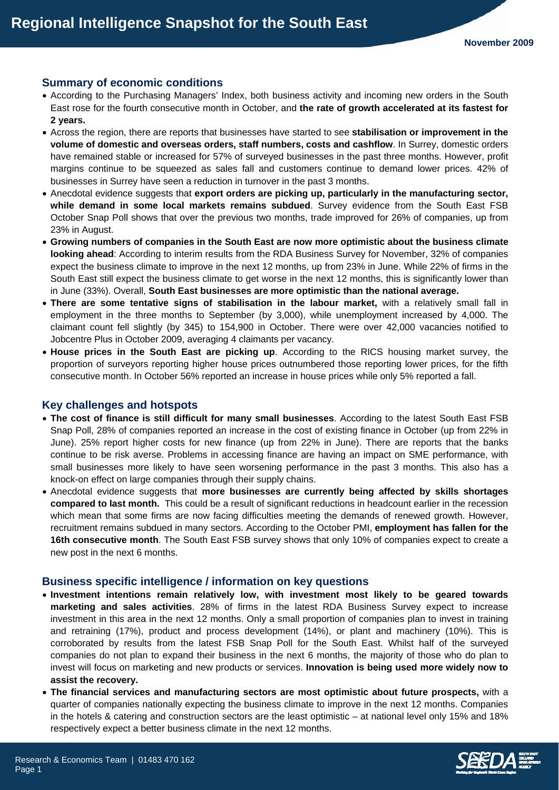## **Summary of economic conditions**

- According to the Purchasing Managers' Index, both business activity and incoming new orders in the South East rose for the fourth consecutive month in October, and **the rate of growth accelerated at its fastest for 2 years.**
- Across the region, there are reports that businesses have started to see **stabilisation or improvement in the volume of domestic and overseas orders, staff numbers, costs and cashflow**. In Surrey, domestic orders have remained stable or increased for 57% of surveyed businesses in the past three months. However, profit margins continue to be squeezed as sales fall and customers continue to demand lower prices. 42% of businesses in Surrey have seen a reduction in turnover in the past 3 months.
- Anecdotal evidence suggests that **export orders are picking up, particularly in the manufacturing sector, while demand in some local markets remains subdued**. Survey evidence from the South East FSB October Snap Poll shows that over the previous two months, trade improved for 26% of companies, up from 23% in August.
- **Growing numbers of companies in the South East are now more optimistic about the business climate looking ahead**: According to interim results from the RDA Business Survey for November, 32% of companies expect the business climate to improve in the next 12 months, up from 23% in June. While 22% of firms in the South East still expect the business climate to get worse in the next 12 months, this is significantly lower than in June (33%). Overall, **South East businesses are more optimistic than the national average.**
- **There are some tentative signs of stabilisation in the labour market,** with a relatively small fall in employment in the three months to September (by 3,000), while unemployment increased by 4,000. The claimant count fell slightly (by 345) to 154,900 in October. There were over 42,000 vacancies notified to Jobcentre Plus in October 2009, averaging 4 claimants per vacancy.
- **House prices in the South East are picking up**. According to the RICS housing market survey, the proportion of surveyors reporting higher house prices outnumbered those reporting lower prices, for the fifth consecutive month. In October 56% reported an increase in house prices while only 5% reported a fall.

#### **Key challenges and hotspots**

- **The cost of finance is still difficult for many small businesses**. According to the latest South East FSB Snap Poll, 28% of companies reported an increase in the cost of existing finance in October (up from 22% in June). 25% report higher costs for new finance (up from 22% in June). There are reports that the banks continue to be risk averse. Problems in accessing finance are having an impact on SME performance, with small businesses more likely to have seen worsening performance in the past 3 months. This also has a knock-on effect on large companies through their supply chains.
- Anecdotal evidence suggests that **more businesses are currently being affected by skills shortages compared to last month.** This could be a result of significant reductions in headcount earlier in the recession which mean that some firms are now facing difficulties meeting the demands of renewed growth. However, recruitment remains subdued in many sectors. According to the October PMI, **employment has fallen for the 16th consecutive month**. The South East FSB survey shows that only 10% of companies expect to create a new post in the next 6 months.

#### **Business specific intelligence / information on key questions**

- **Investment intentions remain relatively low, with investment most likely to be geared towards marketing and sales activities**. 28% of firms in the latest RDA Business Survey expect to increase investment in this area in the next 12 months. Only a small proportion of companies plan to invest in training and retraining (17%), product and process development (14%), or plant and machinery (10%). This is corroborated by results from the latest FSB Snap Poll for the South East. Whilst half of the surveyed companies do not plan to expand their business in the next 6 months, the majority of those who do plan to invest will focus on marketing and new products or services. **Innovation is being used more widely now to assist the recovery.**
- **The financial services and manufacturing sectors are most optimistic about future prospects,** with a quarter of companies nationally expecting the business climate to improve in the next 12 months. Companies in the hotels & catering and construction sectors are the least optimistic – at national level only 15% and 18% respectively expect a better business climate in the next 12 months.

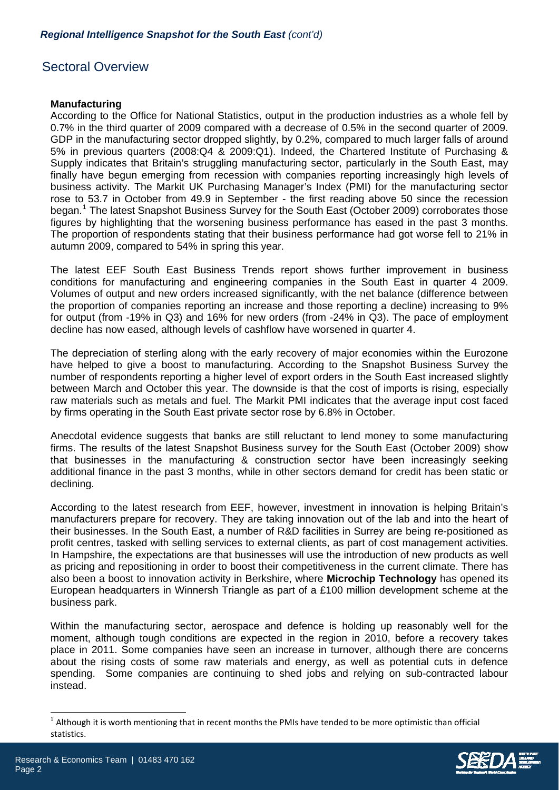# Sectoral Overview

## **Manufacturing**

According to the Office for National Statistics, output in the production industries as a whole fell by 0.7% in the third quarter of 2009 compared with a decrease of 0.5% in the second quarter of 2009. GDP in the manufacturing sector dropped slightly, by 0.2%, compared to much larger falls of around 5% in previous quarters (2008:Q4 & 2009:Q1). Indeed, the Chartered Institute of Purchasing & Supply indicates that Britain's struggling manufacturing sector, particularly in the South East, may finally have begun emerging from recession with companies reporting increasingly high levels of business activity. The Markit UK Purchasing Manager's Index (PMI) for the manufacturing sector rose to 53.7 in October from 49.9 in September - the first reading above 50 since the recession began.<sup>[1](#page-1-0)</sup> The latest Snapshot Business Survey for the South East (October 2009) corroborates those figures by highlighting that the worsening business performance has eased in the past 3 months. The proportion of respondents stating that their business performance had got worse fell to 21% in autumn 2009, compared to 54% in spring this year.

The latest EEF South East Business Trends report shows further improvement in business conditions for manufacturing and engineering companies in the South East in quarter 4 2009. Volumes of output and new orders increased significantly, with the net balance (difference between the proportion of companies reporting an increase and those reporting a decline) increasing to 9% for output (from -19% in Q3) and 16% for new orders (from -24% in Q3). The pace of employment decline has now eased, although levels of cashflow have worsened in quarter 4.

The depreciation of sterling along with the early recovery of major economies within the Eurozone have helped to give a boost to manufacturing. According to the Snapshot Business Survey the number of respondents reporting a higher level of export orders in the South East increased slightly between March and October this year. The downside is that the cost of imports is rising, especially raw materials such as metals and fuel. The Markit PMI indicates that the average input cost faced by firms operating in the South East private sector rose by 6.8% in October.

Anecdotal evidence suggests that banks are still reluctant to lend money to some manufacturing firms. The results of the latest Snapshot Business survey for the South East (October 2009) show that businesses in the manufacturing & construction sector have been increasingly seeking additional finance in the past 3 months, while in other sectors demand for credit has been static or declining.

According to the latest research from EEF, however, investment in innovation is helping Britain's manufacturers prepare for recovery. They are taking innovation out of the lab and into the heart of their businesses. In the South East, a number of R&D facilities in Surrey are being re-positioned as profit centres, tasked with selling services to external clients, as part of cost management activities. In Hampshire, the expectations are that businesses will use the introduction of new products as well as pricing and repositioning in order to boost their competitiveness in the current climate. There has also been a boost to innovation activity in Berkshire, where **Microchip Technology** has opened its European headquarters in Winnersh Triangle as part of a £100 million development scheme at the business park.

Within the manufacturing sector, aerospace and defence is holding up reasonably well for the moment, although tough conditions are expected in the region in 2010, before a recovery takes place in 2011. Some companies have seen an increase in turnover, although there are concerns about the rising costs of some raw materials and energy, as well as potential cuts in defence spending. Some companies are continuing to shed jobs and relying on sub-contracted labour instead.

<span id="page-1-0"></span> $1$  Although it is worth mentioning that in recent months the PMIs have tended to be more optimistic than official statistics.



l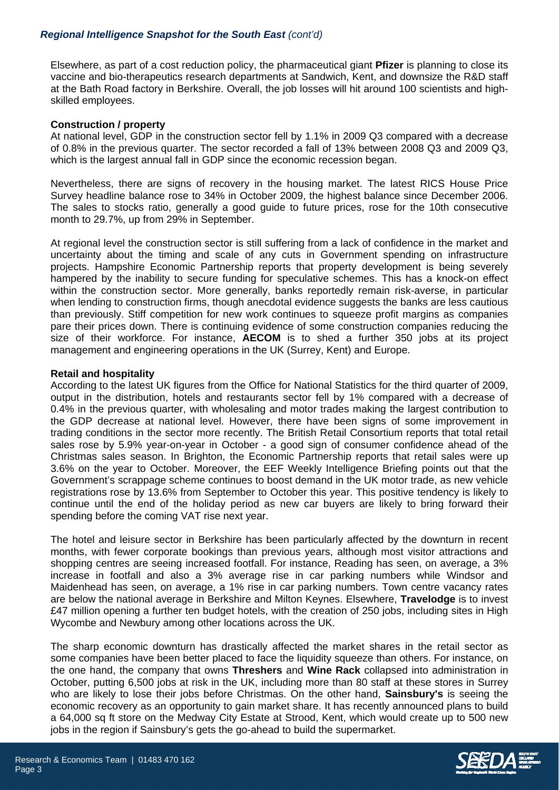# *Regional Intelligence Snapshot for the South East (cont'd)*

Elsewhere, as part of a cost reduction policy, the pharmaceutical giant **Pfizer** is planning to close its vaccine and bio-therapeutics research departments at Sandwich, Kent, and downsize the R&D staff at the Bath Road factory in Berkshire. Overall, the job losses will hit around 100 scientists and highskilled employees.

## **Construction / property**

At national level, GDP in the construction sector fell by 1.1% in 2009 Q3 compared with a decrease of 0.8% in the previous quarter. The sector recorded a fall of 13% between 2008 Q3 and 2009 Q3, which is the largest annual fall in GDP since the economic recession began.

Nevertheless, there are signs of recovery in the housing market. The latest RICS House Price Survey headline balance rose to 34% in October 2009, the highest balance since December 2006. The sales to stocks ratio, generally a good guide to future prices, rose for the 10th consecutive month to 29.7%, up from 29% in September.

At regional level the construction sector is still suffering from a lack of confidence in the market and uncertainty about the timing and scale of any cuts in Government spending on infrastructure projects. Hampshire Economic Partnership reports that property development is being severely hampered by the inability to secure funding for speculative schemes. This has a knock-on effect within the construction sector. More generally, banks reportedly remain risk-averse, in particular when lending to construction firms, though anecdotal evidence suggests the banks are less cautious than previously. Stiff competition for new work continues to squeeze profit margins as companies pare their prices down. There is continuing evidence of some construction companies reducing the size of their workforce. For instance, **AECOM** is to shed a further 350 jobs at its project management and engineering operations in the UK (Surrey, Kent) and Europe.

## **Retail and hospitality**

According to the latest UK figures from the Office for National Statistics for the third quarter of 2009, output in the distribution, hotels and restaurants sector fell by 1% compared with a decrease of 0.4% in the previous quarter, with wholesaling and motor trades making the largest contribution to the GDP decrease at national level. However, there have been signs of some improvement in trading conditions in the sector more recently. The British Retail Consortium reports that total retail sales rose by 5.9% year-on-year in October - a good sign of consumer confidence ahead of the Christmas sales season. In Brighton, the Economic Partnership reports that retail sales were up 3.6% on the year to October. Moreover, the EEF Weekly Intelligence Briefing points out that the Government's scrappage scheme continues to boost demand in the UK motor trade, as new vehicle registrations rose by 13.6% from September to October this year. This positive tendency is likely to continue until the end of the holiday period as new car buyers are likely to bring forward their spending before the coming VAT rise next year.

The hotel and leisure sector in Berkshire has been particularly affected by the downturn in recent months, with fewer corporate bookings than previous years, although most visitor attractions and shopping centres are seeing increased footfall. For instance, Reading has seen, on average, a 3% increase in footfall and also a 3% average rise in car parking numbers while Windsor and Maidenhead has seen, on average, a 1% rise in car parking numbers. Town centre vacancy rates are below the national average in Berkshire and Milton Keynes. Elsewhere, **Travelodge** is to invest £47 million opening a further ten budget hotels, with the creation of 250 jobs, including sites in High Wycombe and Newbury among other locations across the UK.

The sharp economic downturn has drastically affected the market shares in the retail sector as some companies have been better placed to face the liquidity squeeze than others. For instance, on the one hand, the company that owns **Threshers** and **Wine Rack** collapsed into administration in October, putting 6,500 jobs at risk in the UK, including more than 80 staff at these stores in Surrey who are likely to lose their jobs before Christmas. On the other hand, **Sainsbury's** is seeing the economic recovery as an opportunity to gain market share. It has recently announced plans to build a 64,000 sq ft store on the Medway City Estate at Strood, Kent, which would create up to 500 new jobs in the region if Sainsbury's gets the go-ahead to build the supermarket.



Page 3

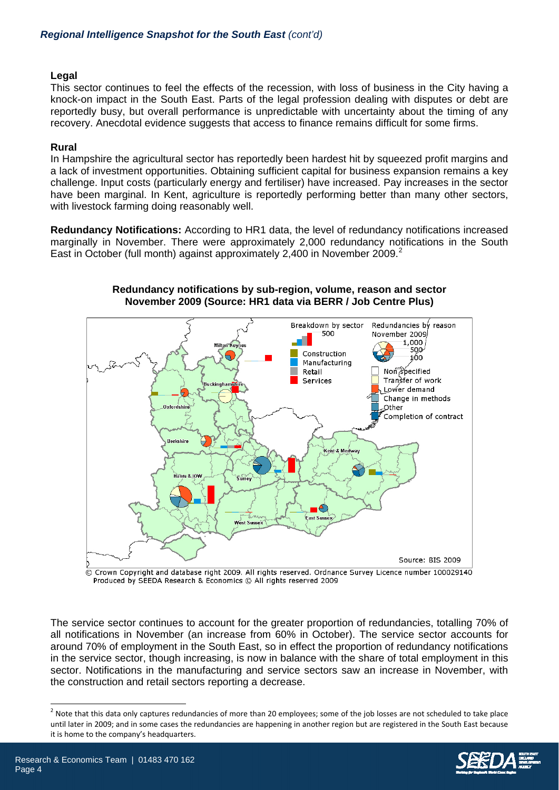## **Legal**

This sector continues to feel the effects of the recession, with loss of business in the City having a knock-on impact in the South East. Parts of the legal profession dealing with disputes or debt are reportedly busy, but overall performance is unpredictable with uncertainty about the timing of any recovery. Anecdotal evidence suggests that access to finance remains difficult for some firms.

# **Rural**

In Hampshire the agricultural sector has reportedly been hardest hit by squeezed profit margins and a lack of investment opportunities. Obtaining sufficient capital for business expansion remains a key challenge. Input costs (particularly energy and fertiliser) have increased. Pay increases in the sector have been marginal. In Kent, agriculture is reportedly performing better than many other sectors, with livestock farming doing reasonably well.

**Redundancy Notifications:** According to HR1 data, the level of redundancy notifications increased marginally in November. There were approximately 2,000 redundancy notifications in the South East in October (full month) against approximately [2](#page-3-0),400 in November 2009.<sup>2</sup>



#### **Redundancy notifications by sub-region, volume, reason and sector November 2009 (Source: HR1 data via BERR / Job Centre Plus)**

C Crown Copyright and database right 2009. All rights reserved. Ordnance Survey Licence number 100029140 Produced by SEEDA Research & Economics © All rights reserved 2009

The service sector continues to account for the greater proportion of redundancies, totalling 70% of all notifications in November (an increase from 60% in October). The service sector accounts for around 70% of employment in the South East, so in effect the proportion of redundancy notifications in the service sector, though increasing, is now in balance with the share of total employment in this sector. Notifications in the manufacturing and service sectors saw an increase in November, with the construction and retail sectors reporting a decrease.

<span id="page-3-0"></span> $2$  Note that this data only captures redundancies of more than 20 employees; some of the job losses are not scheduled to take place until later in 2009; and in some cases the redundancies are happening in another region but are registered in the South East because it is home to the company's headquarters.



l